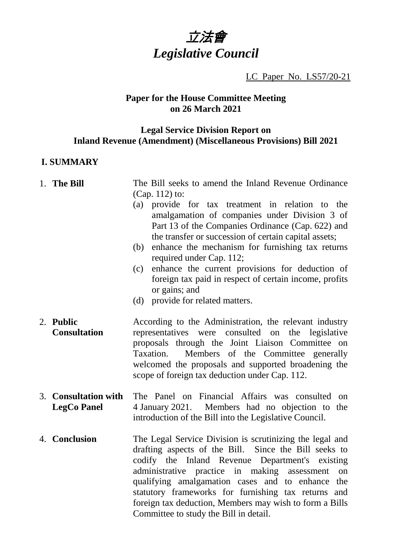

LC Paper No. LS57/20-21

## **Paper for the House Committee Meeting on 26 March 2021**

## **Legal Service Division Report on Inland Revenue (Amendment) (Miscellaneous Provisions) Bill 2021**

## **I. SUMMARY**

#### 1. **The Bill** The Bill seeks to amend the Inland Revenue Ordinance (Cap. 112) to:

- (a) provide for tax treatment in relation to the amalgamation of companies under Division 3 of Part 13 of the Companies Ordinance (Cap. 622) and the transfer or succession of certain capital assets;
- (b) enhance the mechanism for furnishing tax returns required under Cap. 112;
- (c) enhance the current provisions for deduction of foreign tax paid in respect of certain income, profits or gains; and
- (d) provide for related matters.
- 2. **Public Consultation** According to the Administration, the relevant industry representatives were consulted on the legislative proposals through the Joint Liaison Committee on Taxation. Members of the Committee generally welcomed the proposals and supported broadening the scope of foreign tax deduction under Cap. 112.
- 3. **Consultation with LegCo Panel** The Panel on Financial Affairs was consulted on 4 January 2021. Members had no objection to the introduction of the Bill into the Legislative Council.
- 4. **Conclusion** The Legal Service Division is scrutinizing the legal and drafting aspects of the Bill. Since the Bill seeks to codify the Inland Revenue Department's existing administrative practice in making assessment on qualifying amalgamation cases and to enhance the statutory frameworks for furnishing tax returns and foreign tax deduction, Members may wish to form a Bills Committee to study the Bill in detail.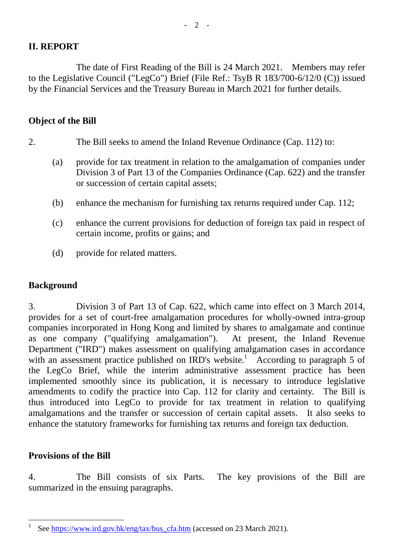# **II. REPORT**

The date of First Reading of the Bill is 24 March 2021. Members may refer to the Legislative Council ("LegCo") Brief (File Ref.: TsyB R 183/700-6/12/0 (C)) issued by the Financial Services and the Treasury Bureau in March 2021 for further details.

## **Object of the Bill**

- 2. The Bill seeks to amend the Inland Revenue Ordinance (Cap. 112) to:
	- (a) provide for tax treatment in relation to the amalgamation of companies under Division 3 of Part 13 of the Companies Ordinance (Cap. 622) and the transfer or succession of certain capital assets;
	- (b) enhance the mechanism for furnishing tax returns required under Cap. 112;
	- (c) enhance the current provisions for deduction of foreign tax paid in respect of certain income, profits or gains; and
	- (d) provide for related matters.

## **Background**

3. Division 3 of Part 13 of Cap. 622, which came into effect on 3 March 2014, provides for a set of court-free amalgamation procedures for wholly-owned intra-group companies incorporated in Hong Kong and limited by shares to amalgamate and continue as one company ("qualifying amalgamation"). At present, the Inland Revenue Department ("IRD") makes assessment on qualifying amalgamation cases in accordance with an assessment practice published on  $\text{RD's website}$ <sup>1</sup> According to paragraph 5 of the LegCo Brief, while the interim administrative assessment practice has been implemented smoothly since its publication, it is necessary to introduce legislative amendments to codify the practice into Cap. 112 for clarity and certainty. The Bill is thus introduced into LegCo to provide for tax treatment in relation to qualifying amalgamations and the transfer or succession of certain capital assets. It also seeks to enhance the statutory frameworks for furnishing tax returns and foreign tax deduction.

## **Provisions of the Bill**

4. The Bill consists of six Parts. The key provisions of the Bill are summarized in the ensuing paragraphs.

 $\frac{1}{1}$ See [https://www.ird.gov.hk/eng/tax/bus\\_cfa.htm](https://www.ird.gov.hk/eng/tax/bus_cfa.htm) (accessed on 23 March 2021).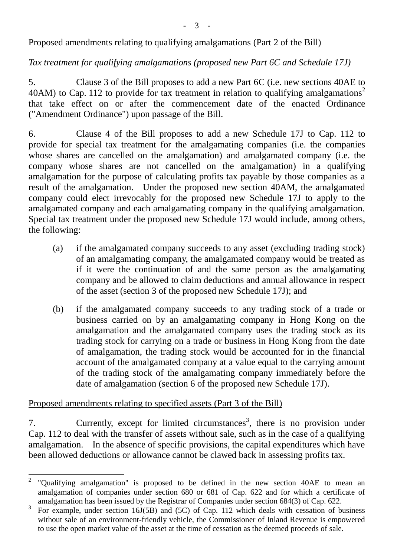## Proposed amendments relating to qualifying amalgamations (Part 2 of the Bill)

## *Tax treatment for qualifying amalgamations (proposed new Part 6C and Schedule 17J)*

5. Clause 3 of the Bill proposes to add a new Part 6C (i.e. new sections 40AE to 40AM) to Cap. 112 to provide for tax treatment in relation to qualifying amalgamations<sup>2</sup> that take effect on or after the commencement date of the enacted Ordinance ("Amendment Ordinance") upon passage of the Bill.

6. Clause 4 of the Bill proposes to add a new Schedule 17J to Cap. 112 to provide for special tax treatment for the amalgamating companies (i.e. the companies whose shares are cancelled on the amalgamation) and amalgamated company (i.e. the company whose shares are not cancelled on the amalgamation) in a qualifying amalgamation for the purpose of calculating profits tax payable by those companies as a result of the amalgamation. Under the proposed new section 40AM, the amalgamated company could elect irrevocably for the proposed new Schedule 17J to apply to the amalgamated company and each amalgamating company in the qualifying amalgamation. Special tax treatment under the proposed new Schedule 17J would include, among others, the following:

- (a) if the amalgamated company succeeds to any asset (excluding trading stock) of an amalgamating company, the amalgamated company would be treated as if it were the continuation of and the same person as the amalgamating company and be allowed to claim deductions and annual allowance in respect of the asset (section 3 of the proposed new Schedule 17J); and
- (b) if the amalgamated company succeeds to any trading stock of a trade or business carried on by an amalgamating company in Hong Kong on the amalgamation and the amalgamated company uses the trading stock as its trading stock for carrying on a trade or business in Hong Kong from the date of amalgamation, the trading stock would be accounted for in the financial account of the amalgamated company at a value equal to the carrying amount of the trading stock of the amalgamating company immediately before the date of amalgamation (section 6 of the proposed new Schedule 17J).

#### Proposed amendments relating to specified assets (Part 3 of the Bill)

7. Currently, except for limited circumstances<sup>3</sup>, there is no provision under Cap. 112 to deal with the transfer of assets without sale, such as in the case of a qualifying amalgamation. In the absence of specific provisions, the capital expenditures which have been allowed deductions or allowance cannot be clawed back in assessing profits tax.

 $\frac{1}{2}$ "Qualifying amalgamation" is proposed to be defined in the new section 40AE to mean an amalgamation of companies under section 680 or 681 of Cap. 622 and for which a certificate of amalgamation has been issued by the Registrar of Companies under section 684(3) of Cap. 622.

<sup>3</sup> For example, under section 16J(5B) and (5C) of Cap. 112 which deals with cessation of business without sale of an environment-friendly vehicle, the Commissioner of Inland Revenue is empowered to use the open market value of the asset at the time of cessation as the deemed proceeds of sale.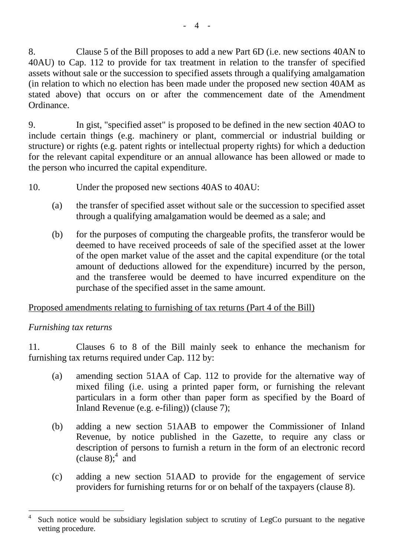8. Clause 5 of the Bill proposes to add a new Part 6D (i.e. new sections 40AN to 40AU) to Cap. 112 to provide for tax treatment in relation to the transfer of specified assets without sale or the succession to specified assets through a qualifying amalgamation (in relation to which no election has been made under the proposed new section 40AM as stated above) that occurs on or after the commencement date of the Amendment Ordinance.

9. In gist, "specified asset" is proposed to be defined in the new section 40AO to include certain things (e.g. machinery or plant, commercial or industrial building or structure) or rights (e.g. patent rights or intellectual property rights) for which a deduction for the relevant capital expenditure or an annual allowance has been allowed or made to the person who incurred the capital expenditure.

- 10. Under the proposed new sections 40AS to 40AU:
	- (a) the transfer of specified asset without sale or the succession to specified asset through a qualifying amalgamation would be deemed as a sale; and
	- (b) for the purposes of computing the chargeable profits, the transferor would be deemed to have received proceeds of sale of the specified asset at the lower of the open market value of the asset and the capital expenditure (or the total amount of deductions allowed for the expenditure) incurred by the person, and the transferee would be deemed to have incurred expenditure on the purchase of the specified asset in the same amount.

## Proposed amendments relating to furnishing of tax returns (Part 4 of the Bill)

## *Furnishing tax returns*

11. Clauses 6 to 8 of the Bill mainly seek to enhance the mechanism for furnishing tax returns required under Cap. 112 by:

- (a) amending section 51AA of Cap. 112 to provide for the alternative way of mixed filing (i.e. using a printed paper form, or furnishing the relevant particulars in a form other than paper form as specified by the Board of Inland Revenue (e.g. e-filing)) (clause 7);
- (b) adding a new section 51AAB to empower the Commissioner of Inland Revenue, by notice published in the Gazette, to require any class or description of persons to furnish a return in the form of an electronic record (clause 8);  $4 \text{ and}$
- (c) adding a new section 51AAD to provide for the engagement of service providers for furnishing returns for or on behalf of the taxpayers (clause 8).

<sup>4</sup> Such notice would be subsidiary legislation subject to scrutiny of LegCo pursuant to the negative vetting procedure.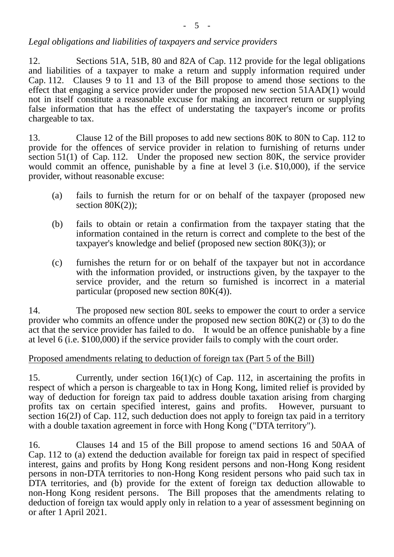# *Legal obligations and liabilities of taxpayers and service providers*

12. Sections 51A, 51B, 80 and 82A of Cap. 112 provide for the legal obligations and liabilities of a taxpayer to make a return and supply information required under Cap. 112. Clauses 9 to 11 and 13 of the Bill propose to amend those sections to the effect that engaging a service provider under the proposed new section 51AAD(1) would not in itself constitute a reasonable excuse for making an incorrect return or supplying false information that has the effect of understating the taxpayer's income or profits chargeable to tax.

13. Clause 12 of the Bill proposes to add new sections 80K to 80N to Cap. 112 to provide for the offences of service provider in relation to furnishing of returns under section 51(1) of Cap. 112. Under the proposed new section 80K, the service provider would commit an offence, punishable by a fine at level 3 (i.e. \$10,000), if the service provider, without reasonable excuse:

- (a) fails to furnish the return for or on behalf of the taxpayer (proposed new section  $80K(2)$ ;
- (b) fails to obtain or retain a confirmation from the taxpayer stating that the information contained in the return is correct and complete to the best of the taxpayer's knowledge and belief (proposed new section 80K(3)); or
- (c) furnishes the return for or on behalf of the taxpayer but not in accordance with the information provided, or instructions given, by the taxpayer to the service provider, and the return so furnished is incorrect in a material particular (proposed new section 80K(4)).

14. The proposed new section 80L seeks to empower the court to order a service provider who commits an offence under the proposed new section 80K(2) or (3) to do the act that the service provider has failed to do. It would be an offence punishable by a fine at level 6 (i.e. \$100,000) if the service provider fails to comply with the court order.

# Proposed amendments relating to deduction of foreign tax (Part 5 of the Bill)

15. Currently, under section 16(1)(c) of Cap. 112, in ascertaining the profits in respect of which a person is chargeable to tax in Hong Kong, limited relief is provided by way of deduction for foreign tax paid to address double taxation arising from charging profits tax on certain specified interest, gains and profits. However, pursuant to section 16(2J) of Cap. 112, such deduction does not apply to foreign tax paid in a territory with a double taxation agreement in force with Hong Kong ("DTA territory").

16. Clauses 14 and 15 of the Bill propose to amend sections 16 and 50AA of Cap. 112 to (a) extend the deduction available for foreign tax paid in respect of specified interest, gains and profits by Hong Kong resident persons and non-Hong Kong resident persons in non-DTA territories to non-Hong Kong resident persons who paid such tax in DTA territories, and (b) provide for the extent of foreign tax deduction allowable to non-Hong Kong resident persons. The Bill proposes that the amendments relating to deduction of foreign tax would apply only in relation to a year of assessment beginning on or after 1 April 2021.